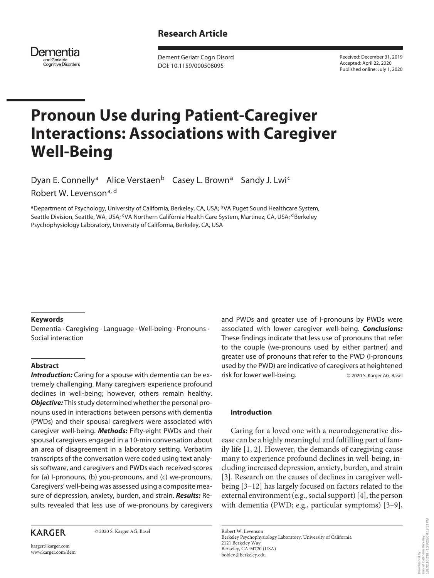

Dement Geriatr Cogn Disord DOI: 10.1159/000508095

Received: December 31, 2019 Accepted: April 22, 2020 Published online: July 1, 2020

# **Pronoun Use during Patient-Caregiver Interactions: Associations with Caregiver Well-Being**

Dyan E. Connelly<sup>a</sup> Alice Verstaen<sup>b</sup> Casey L. Brown<sup>a</sup> Sandy J. Lwi<sup>c</sup> Robert W. Levenson<sup>a, d</sup>

aDepartment of Psychology, University of California, Berkeley, CA, USA; <sup>b</sup>VA Puget Sound Healthcare System, Seattle Division, Seattle, WA, USA; <sup>c</sup>VA Northern California Health Care System, Martinez, CA, USA; <sup>d</sup>Berkeley Psychophysiology Laboratory, University of California, Berkeley, CA, USA

# **Keywords**

Dementia · Caregiving · Language · Well-being · Pronouns · Social interaction

# **Abstract**

*Introduction:* Caring for a spouse with dementia can be extremely challenging. Many caregivers experience profound declines in well-being; however, others remain healthy. *Objective:* This study determined whether the personal pronouns used in interactions between persons with dementia (PWDs) and their spousal caregivers were associated with caregiver well-being. *Methods:* Fifty-eight PWDs and their spousal caregivers engaged in a 10-min conversation about an area of disagreement in a laboratory setting. Verbatim transcripts of the conversation were coded using text analysis software, and caregivers and PWDs each received scores for (a) I-pronouns, (b) you-pronouns, and (c) we-pronouns. Caregivers' well-being was assessed using a composite measure of depression, anxiety, burden, and strain. *Results:* Results revealed that less use of we-pronouns by caregivers

# **KARGER**

© 2020 S. Karger AG, Basel

and PWDs and greater use of I-pronouns by PWDs were associated with lower caregiver well-being. *Conclusions:* These findings indicate that less use of pronouns that refer to the couple (we-pronouns used by either partner) and greater use of pronouns that refer to the PWD (I-pronouns used by the PWD) are indicative of caregivers at heightened risk for lower well-being.  $\Box$   $\Box$  2020 S. Karger AG, Basel

## **Introduction**

<span id="page-0-1"></span><span id="page-0-0"></span>Caring for a loved one with a neurodegenerative disease can be a highly meaningful and fulfilling part of family life [\[1](#page-6-0), [2\]](#page-6-1). However, the demands of caregiving cause many to experience profound declines in well-being, including increased depression, anxiety, burden, and strain [[3](#page-6-2)]. Research on the causes of declines in caregiver wellbeing [[3–](#page-6-2)[1](#page-6-0)[2](#page-6-1)] has largely focused on factors related to the external environment (e.g., social support) [[4\]](#page-6-3), the person with dementia (PWD; e.g., particular symptoms) [\[3](#page-6-2)[–9](#page-6-4)],

<span id="page-0-2"></span>Robert W. Levenson Berkeley Psychophysiology Laboratory, University of California 2121 Berkeley Way Berkeley, CA 94720 (USA) boblev@berkeley.edu

karger@karger.com www.karger.com/dem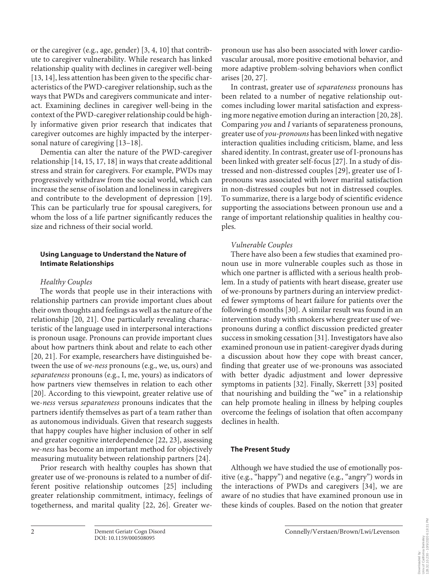<span id="page-1-0"></span>or the caregiver (e.g., age, gender) [[3,](#page-6-2) [4](#page-6-3), [10](#page-6-0)] that contribute to caregiver vulnerability. While research has linked relationship quality with declines in caregiver well-being [\[1](#page-6-0)[3,](#page-6-2) [1](#page-6-0)[4\]](#page-6-3), less attention has been given to the specific characteristics of the PWD-caregiver relationship, such as the ways that PWDs and caregivers communicate and interact. Examining declines in caregiver well-being in the context of the PWD-caregiver relationship could be highly informative given prior research that indicates that caregiver outcomes are highly impacted by the interpersonal nature of caregiving [[1](#page-6-0)[3](#page-6-2)[–1](#page-6-0)[8\]](#page-6-5).

<span id="page-1-2"></span><span id="page-1-1"></span>Dementia can alter the nature of the PWD-caregiver relationship [\[1](#page-6-0)[4,](#page-6-3) [1](#page-6-0)[5](#page-6-6), [1](#page-6-0)[7](#page-6-7), [1](#page-6-0)[8\]](#page-6-5) in ways that create additional stress and strain for caregivers. For example, PWDs may progressively withdraw from the social world, which can increase the sense of isolation and loneliness in caregivers and contribute to the development of depression [\[1](#page-6-0)[9\]](#page-6-4). This can be particularly true for spousal caregivers, for whom the loss of a life partner significantly reduces the size and richness of their social world.

# **Using Language to Understand the Nature of Intimate Relationships**

# *Healthy Couples*

<span id="page-1-3"></span>The words that people use in their interactions with relationship partners can provide important clues about their own thoughts and feelings as well as the nature of the relationship [\[2](#page-6-1)0, [2](#page-6-1)[1](#page-6-0)]. One particularly revealing characteristic of the language used in interpersonal interactions is pronoun usage. Pronouns can provide important clues about how partners think about and relate to each other [\[20](#page-6-1), [2](#page-6-1)[1](#page-6-0)]. For example, researchers have distinguished between the use of *we-ness* pronouns (e.g., we, us, ours) and *separateness* pronouns (e.g., I, me, yours) as indicators of how partners view themselves in relation to each other [\[20](#page-6-1)]. According to this viewpoint, greater relative use of we-*ness* versus *separateness* pronouns indicates that the partners identify themselves as part of a team rather than as autonomous individuals. Given that research suggests that happy couples have higher inclusion of other in self and greater cognitive interdependence [[22](#page-6-1), [2](#page-6-1)[3](#page-6-2)], assessing *we-ness* has become an important method for objectively measuring mutuality between relationship partners [\[2](#page-6-1)[4\]](#page-6-3).

<span id="page-1-7"></span><span id="page-1-6"></span><span id="page-1-5"></span><span id="page-1-4"></span>Prior research with healthy couples has shown that greater use of we-pronouns is related to a number of different positive relationship outcomes [\[2](#page-6-1)[5\]](#page-6-6) including greater relationship commitment, intimacy, feelings of togetherness, and marital quality [[22](#page-6-1), [2](#page-6-1)[6\]](#page-6-8). Greater w*e-* pronoun use has also been associated with lower cardiovascular arousal, more positive emotional behavior, and more adaptive problem-solving behaviors when conflict arises [[2](#page-6-1)0, [2](#page-6-1)[7](#page-6-7)].

<span id="page-1-9"></span><span id="page-1-8"></span>In contrast, greater use of *separateness* pronouns has been related to a number of negative relationship outcomes including lower marital satisfaction and expressing more negative emotion during an interaction [[2](#page-6-1)0, [2](#page-6-1)[8](#page-6-5)]. Comparing *you* and *I* variants of separateness pronouns, greater use of *you-pronouns* has been linked with negative interaction qualities including criticism, blame, and less shared identity. In contrast, greater use of I-pronouns has been linked with greater self-focus [\[2](#page-6-1)[7\]](#page-6-7). In a study of distressed and non-distressed couples [[2](#page-6-1)[9](#page-6-4)], greater use of Ipronouns was associated with lower marital satisfaction in non-distressed couples but not in distressed couples. To summarize, there is a large body of scientific evidence supporting the associations between pronoun use and a range of important relationship qualities in healthy couples.

# <span id="page-1-10"></span>*Vulnerable Couples*

<span id="page-1-12"></span><span id="page-1-11"></span>There have also been a few studies that examined pronoun use in more vulnerable couples such as those in which one partner is afflicted with a serious health problem. In a study of patients with heart disease, greater use of we-pronouns by partners during an interview predicted fewer symptoms of heart failure for patients over the following 6 months [\[3](#page-6-2)0]. A similar result was found in an intervention study with smokers where greater use of wepronouns during a conflict discussion predicted greater success in smoking cessation [\[3](#page-6-2)[1\]](#page-6-0). Investigators have also examined pronoun use in patient-caregiver dyads during a discussion about how they cope with breast cancer, finding that greater use of we-pronouns was associated with better dyadic adjustment and lower depressive symptoms in patients [\[3](#page-6-2)[2\]](#page-6-1). Finally, Skerrett [\[33\]](#page-6-2) posited that nourishing and building the "we" in a relationship can help promote healing in illness by helping couples overcome the feelings of isolation that often accompany declines in health.

# <span id="page-1-14"></span><span id="page-1-13"></span>**The Present Study**

<span id="page-1-15"></span>Although we have studied the use of emotionally positive (e.g., "happy") and negative (e.g., "angry") words in the interactions of PWDs and caregivers [[3](#page-6-2)[4](#page-6-3)], we are aware of no studies that have examined pronoun use in these kinds of couples. Based on the notion that greater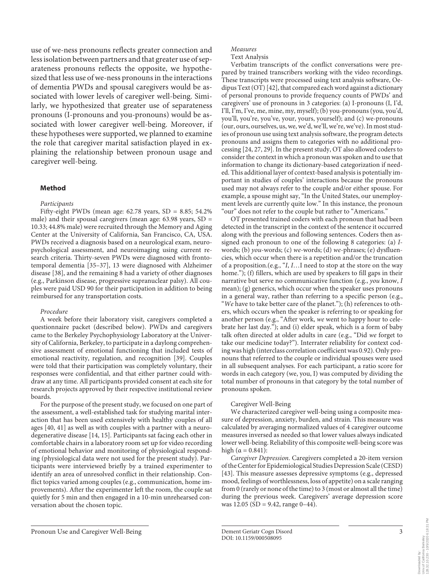use of we-ness pronouns reflects greater connection and less isolation between partners and that greater use of separateness pronouns reflects the opposite, we hypothesized that less use of we-ness pronouns in the interactions of dementia PWDs and spousal caregivers would be associated with lower levels of caregiver well-being. Similarly, we hypothesized that greater use of separateness pronouns (I-pronouns and you-pronouns) would be associated with lower caregiver well-being. Moreover, if these hypotheses were supported, we planned to examine the role that caregiver marital satisfaction played in explaining the relationship between pronoun usage and caregiver well-being.

#### **Method**

#### *Participants*

Fifty-eight PWDs (mean age:  $62.78$  years,  $SD = 8.85$ ;  $54.2\%$ male) and their spousal caregivers (mean age:  $63.98$  years,  $SD =$ 10.33; 44.8% male) were recruited through the Memory and Aging Center at the University of California, San Francisco, CA, USA. PWDs received a diagnosis based on a neurological exam, neuropsychological assessment, and neuroimaging using current research criteria. Thirty-seven PWDs were diagnosed with frontotemporal dementia [[3](#page-6-2)[5–](#page-6-6)[3](#page-6-2)[7](#page-6-7)], 13 were diagnosed with Alzheimer disease [[3](#page-6-2)[8\]](#page-6-5), and the remaining 8 had a variety of other diagnoses (e.g., Parkinson disease, progressive supranuclear palsy). All couples were paid USD 90 for their participation in addition to being reimbursed for any transportation costs.

#### <span id="page-2-1"></span><span id="page-2-0"></span>*Procedure*

<span id="page-2-2"></span>A week before their laboratory visit, caregivers completed a questionnaire packet (described below). PWDs and caregivers came to the Berkeley Psychophysiology Laboratory at the University of California, Berkeley, to participate in a daylong comprehensive assessment of emotional functioning that included tests of emotional reactivity, regulation, and recognition [[3](#page-6-2)[9\]](#page-6-4). Couples were told that their participation was completely voluntary, their responses were confidential, and that either partner could withdraw at any time. All participants provided consent at each site for research projects approved by their respective institutional review boards.

<span id="page-2-3"></span>For the purpose of the present study, we focused on one part of the assessment, a well-established task for studying marital interaction that has been used extensively with healthy couples of all ages [\[40](#page-6-3), [4](#page-6-3)[1](#page-6-0)] as well as with couples with a partner with a neurodegenerative disease [\[1](#page-6-0)[4](#page-6-3), [1](#page-6-0)[5\]](#page-6-6). Participants sat facing each other in comfortable chairs in a laboratory room set up for video recording of emotional behavior and monitoring of physiological responding (physiological data were not used for the present study). Participants were interviewed briefly by a trained experimenter to identify an area of unresolved conflict in their relationship. Conflict topics varied among couples (e.g., communication, home improvements). After the experimenter left the room, the couple sat quietly for 5 min and then engaged in a 10-min unrehearsed conversation about the chosen topic.

<span id="page-2-4"></span>Verbatim transcripts of the conflict conversations were prepared by trained transcribers working with the video recordings. These transcripts were processed using text analysis software, Oedipus Text (OT) [[4](#page-6-3)[2\]](#page-6-1), that compared each word against a dictionary of personal pronouns to provide frequency counts of PWDs' and caregivers' use of pronouns in 3 categories: (a) I-pronouns (I, I'd, I'll, I'm, I've, me, mine, my, myself); (b) you-pronouns (you, you'd, you'll, you're, you've, your, yours, yourself); and (c) we-pronouns (our, ours, ourselves, us, we, we'd, we'll, we're, we've). In most studies of pronoun use using text analysis software, the program detects pronouns and assigns them to categories with no additional processing [\[2](#page-6-1)[4](#page-6-3), [2](#page-6-1)[7](#page-6-7), [2](#page-6-1)[9](#page-6-4)]. In the present study, OT also allowed coders to consider the context in which a pronoun was spoken and to use that information to change its dictionary-based categorization if needed. This additional layer of context-based analysis is potentially important in studies of couples' interactions because the pronouns used may not always refer to the couple and/or either spouse. For example, a spouse might say, "In the United States, our unemployment levels are currently quite low." In this instance, the pronoun

"our" does not refer to the couple but rather to "Americans." OT presented trained coders with each pronoun that had been detected in the transcript in the context of the sentence it occurred along with the previous and following sentences. Coders then assigned each pronoun to one of the following 8 categories: (a) *I*words; (b) *you*-words; (c) *we*-words; (d) *we*-phrases; (e) dysfluencies, which occur when there is a repetition and/or the truncation of a proposition.(e.g., "*I*, *I*…I need to stop at the store on the way home."); (f) fillers, which are used by speakers to fill gaps in their narrative but serve no communicative function (e.g., *you* know, *I* mean); (g) generics, which occur when the speaker uses pronouns in a general way, rather than referring to a specific person (e.g., "*We* have to take better care of the planet."); (h) references to others, which occurs when the speaker is referring to or speaking for another person (e.g., "After work, *we* went to happy hour to celebrate her last day."); and (i) elder speak, which is a form of baby talk often directed at older adults in care (e.g., "Did *we* forget to take our medicine today?"). Interrater reliability for context coding was high (interclass correlation coefficient was 0.92). Only pronouns that referred to the couple or individual spouses were used in all subsequent analyses. For each participant, a ratio score for words in each category (we, you, I) was computed by dividing the total number of pronouns in that category by the total number of pronouns spoken.

#### Caregiver Well-Being

We characterized caregiver well-being using a composite measure of depression, anxiety, burden, and strain. This measure was calculated by averaging normalized values of 4 caregiver outcome measures inversed as needed so that lower values always indicated lower well-being. Reliability of this composite well-being score was high ( $α = 0.841$ ):

<span id="page-2-5"></span>*Caregiver Depression*. Caregivers completed a 20-item version of the Center for Epidemiological Studies Depression Scale (CESD) [\[4](#page-6-3)[3](#page-6-2)]. This measure assesses depressive symptoms (e.g., depressed mood, feelings of worthlessness, loss of appetite) on a scale ranging from 0 (rarely or none of the time) to 3 (most or almost all the time) during the previous week. Caregivers' average depression score was  $12.05$  (SD = 9.42, range 0–44).

128.32.10.230 - 10/5/2020 6:18:31 PM

*Measures* Text Analysis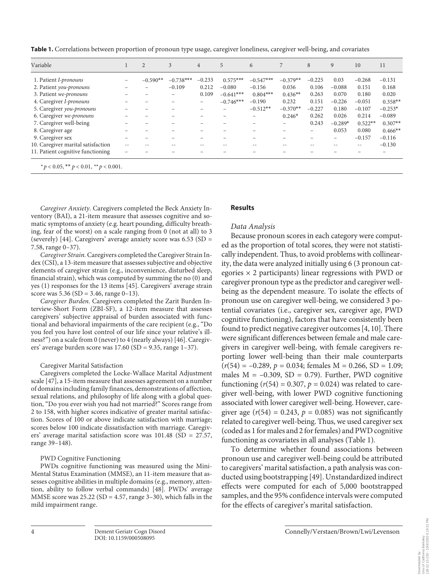**Table 1.** Correlations between proportion of pronoun type usage, caregiver loneliness, caregiver well-being, and covariates

| Variable                                        |                          | $\overline{2}$ | 3           | $\overline{4}$ | 5           | 6           | 7          | 8        | 9         | 10        | 11        |
|-------------------------------------------------|--------------------------|----------------|-------------|----------------|-------------|-------------|------------|----------|-----------|-----------|-----------|
| 1. Patient <i>I-pronouns</i>                    |                          | $-0.590**$     | $-0.738***$ | $-0.233$       | $0.575***$  | $-0.547***$ | $-0.379**$ | $-0.225$ | 0.03      | $-0.268$  | $-0.131$  |
| 2. Patient you-pronouns                         |                          |                | $-0.109$    | 0.212          | $-0.080$    | $-0.156$    | 0.036      | 0.106    | $-0.088$  | 0.151     | 0.168     |
| 3. Patient we-pronouns                          | $\overline{\phantom{a}}$ |                | -           | 0.109          | $-0.641***$ | $0.804***$  | $0.436**$  | 0.263    | 0.070     | 0.180     | 0.020     |
| 4. Caregiver I-pronouns                         |                          |                |             | -              | $-0.746***$ | $-0.190$    | 0.232      | 0.151    | $-0.226$  | $-0.051$  | $0.358**$ |
| 5. Caregiver you-pronouns                       |                          |                |             | -              |             | $-0.512**$  | $-0.370**$ | $-0.227$ | 0.180     | $-0.107$  | $-0.253*$ |
| 6. Caregiver we-pronouns                        |                          |                | -           | -              |             | -           | $0.246*$   | 0.262    | 0.026     | 0.214     | $-0.089$  |
| 7. Caregiver well-being                         |                          |                | ۰           | -              |             | -           | -          | 0.243    | $-0.289*$ | $0.522**$ | $0.307**$ |
| 8. Caregiver age                                | -                        | -              | -           | -              |             |             | -          | -        | 0.053     | 0.080     | $0.466**$ |
| 9. Caregiver sex                                |                          |                |             | -              |             |             |            | -        | -         | $-0.157$  | $-0.116$  |
| 10. Caregiver marital satisfaction              | $- -$                    |                |             | --             |             |             |            | $- -$    | --        | $- -$     | $-0.130$  |
| 11. Patient cognitive functioning               | $\overline{\phantom{a}}$ |                |             |                |             |             |            |          |           |           |           |
| * $p < 0.05$ , ** $p < 0.01$ , ** $p < 0.001$ . |                          |                |             |                |             |             |            |          |           |           |           |

*Caregiver Anxiety.* Caregivers completed the Beck Anxiety Inventory (BAI), a 21-item measure that assesses cognitive and somatic symptoms of anxiety (e.g. heart pounding, difficulty breathing, fear of the worst) on a scale ranging from 0 (not at all) to 3 (severely) [\[44\]](#page-6-3). Caregivers' average anxiety score was 6.53 (SD = 7.58, range 0–37).

*Caregiver Strain.* Caregivers completed the Caregiver Strain Index (CSI), a 13-item measure that assesses subjective and objective elements of caregiver strain (e.g., inconvenience, disturbed sleep, financial strain), which was computed by summing the no (0) and yes (1) responses for the 13 items [\[4](#page-6-3)[5](#page-6-6)]. Caregivers' average strain score was  $5.36$  (SD = 3.46, range 0–13).

*Caregiver Burden.* Caregivers completed the Zarit Burden Interview-Short Form (ZBI-SF), a 12-item measure that assesses caregivers' subjective appraisal of burden associated with functional and behavioral impairments of the care recipient (e.g., "Do you feel you have lost control of our life since your relative's illness?") on a scale from 0 (never) to 4 (nearly always) [\[4](#page-6-3)[6](#page-6-8)]. Caregivers' average burden score was 17.60 (SD = 9.35, range 1–37).

## Caregiver Marital Satisfaction

Caregivers completed the Locke-Wallace Marital Adjustment scale [[4](#page-6-3)[7\]](#page-6-7), a 15-item measure that assesses agreement on a number of domains including family finances, demonstrations of affection, sexual relations, and philosophy of life along with a global question, "Do you ever wish you had not married?" Scores range from 2 to 158, with higher scores indicative of greater marital satisfaction. Scores of 100 or above indicate satisfaction with marriage; scores below 100 indicate dissatisfaction with marriage. Caregivers' average marital satisfaction score was 101.48 (SD = 27.57, range 39–148).

## PWD Cognitive Functioning

PWDs cognitive functioning was measured using the Mini-Mental Status Examination (MMSE), an 11-item measure that assesses cognitive abilities in multiple domains (e.g., memory, attention, ability to follow verbal commands) [\[4](#page-6-3)[8\]](#page-6-5). PWDs' average MMSE score was  $25.22$  (SD = 4.57, range 3–30), which falls in the mild impairment range.

## **Results**

# *Data Analysis*

Because pronoun scores in each category were computed as the proportion of total scores, they were not statistically independent. Thus, to avoid problems with collinearity, the data were analyzed initially using 6 (3 pronoun categories  $\times$  2 participants) linear regressions with PWD or caregiver pronoun type as the predictor and caregiver wellbeing as the dependent measure. To isolate the effects of pronoun use on caregiver well-being, we considered 3 potential covariates (i.e., caregiver sex, caregiver age, PWD cognitive functioning), factors that have consistently been found to predict negative caregiver outcomes [[4,](#page-6-3) [1](#page-6-0)0]. There were significant differences between female and male caregivers in caregiver well-being, with female caregivers reporting lower well-being than their male counterparts  $(r(54) = -0.289, p = 0.034;$  females  $M = 0.266$ , SD = 1.09; males  $M = -0.309$ ,  $SD = 0.79$ . Further, PWD cognitive functioning  $(r(54) = 0.307, p = 0.024)$  was related to caregiver well-being, with lower PWD cognitive functioning associated with lower caregiver well-being. However, caregiver age  $(r(54) = 0.243, p = 0.085)$  was not significantly related to caregiver well-being. Thus, we used caregiver sex (coded as 1 for males and 2 for females) and PWD cognitive functioning as covariates in all analyses (Table 1).

To determine whether found associations between pronoun use and caregiver well-being could be attributed to caregivers' marital satisfaction, a path analysis was conducted using bootstrapping [\[4](#page-6-3)[9\]](#page-6-4). Unstandardized indirect effects were computed for each of 5,000 bootstrapped samples, and the 95% confidence intervals were computed for the effects of caregiver's marital satisfaction.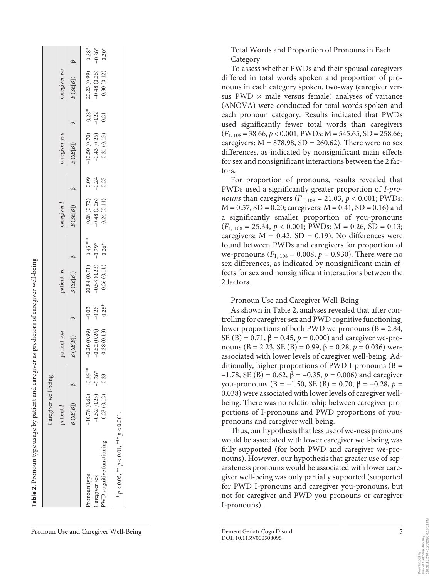|                                                  | Caregiver well-being   |          |                                |                    |                                 |           |                                                              |                           |                                                 |                      |                                |                                 |
|--------------------------------------------------|------------------------|----------|--------------------------------|--------------------|---------------------------------|-----------|--------------------------------------------------------------|---------------------------|-------------------------------------------------|----------------------|--------------------------------|---------------------------------|
|                                                  | patient I              |          | patient you                    |                    | vatient we                      |           | aregiver I                                                   |                           | aregiver you                                    |                      | caregiver we                   |                                 |
|                                                  | B(SE[B])               |          | B(SE[B])                       |                    | $(SE[B])$ $\beta$               |           | 3(SE[B])                                                     |                           | B(SE[B])                                        |                      | B(SE[B])                       |                                 |
| ronoun type                                      | $10.78(0.62) -0.35***$ |          |                                |                    |                                 | $0.45***$ |                                                              |                           |                                                 |                      |                                |                                 |
| aregiver sex                                     | $-0.52(0.23)$          | $-0.26*$ | $-0.26(0.99)$<br>$-0.52(0.26)$ | $-0.03$<br>$-0.26$ | $20.84(0.71)$<br>-0.58 (0.23) - | $-0.29*$  | $\begin{array}{c} 0.08\ (0.72) \\ -0.48\ (0.26) \end{array}$ | $0.09$<br>$-0.24$<br>0.25 | $-10.50(0.70)$<br>$-0.43(0.25)$<br>$0.21(0.13)$ | $-0.28$ *<br>$-0.22$ | $20.23(0.99)$<br>$-0.48(0.25)$ | $0.28$ *<br>$-0.26$ *<br>0.30 * |
| WD cognitive functioning                         | 0.23(0.12)             | 0.23     | 0.28(0.13)                     | $0.28*$            | 0.26(0.11)                      | $0.26*$   | 0.24(0.14)                                                   |                           |                                                 | 0.21                 | 0.30(0.12)                     |                                 |
| * $p < 0.05$ , ** $p < 0.01$ , *** $p < 0.001$ . |                        |          |                                |                    |                                 |           |                                                              |                           |                                                 |                      |                                |                                 |
|                                                  |                        |          |                                |                    |                                 |           |                                                              |                           |                                                 |                      |                                |                                 |
|                                                  |                        |          |                                |                    |                                 |           |                                                              |                           |                                                 |                      |                                |                                 |

Table 2. Pronoun type usage by patient and caregiver as predictors of caregiver well-being

Pronoun type usage by patient and caregiver as predictors of caregiver well-being

Pronoun Use and Caregiver Well-Being Dement Geriatr Cogn Disord DOI: 10.1159/000508095

Total Words and Proportion of Pronouns in Each Category

To assess whether PWDs and their spousal caregivers differed in total words spoken and proportion of pro nouns in each category spoken, two-way (caregiver ver sus PWD  $\times$  male versus female) analyses of variance (ANOVA) were conducted for total words spoken and each pronoun category. Results indicated that PWDs used significantly fewer total words than caregivers (*F*<sub>1, 108</sub> = 38.66, *p* < 0.001; PWDs: M = 545.65, SD = 258.66; caregivers:  $M = 878.98$ ,  $SD = 260.62$ ). There were no sex differences, as indicated by nonsignificant main effects for sex and nonsignificant interactions between the 2 fac tors.

For proportion of pronouns, results revealed that PWDs used a significantly greater proportion of *I-pro nouns* than caregivers ( $F_{1, 108} = 21.03$ ,  $p < 0.001$ ; PWDs:  $M = 0.57$ ,  $SD = 0.20$ ; caregivers:  $M = 0.41$ ,  $SD = 0.16$ ) and a significantly smaller proportion of you-pronouns  $(F_{1,108} = 25.34, p < 0.001;$  PWDs:  $M = 0.26, SD = 0.13;$ caregivers:  $M = 0.42$ ,  $SD = 0.19$ ). No differences were found between PWDs and caregivers for proportion of we-pronouns ( $F_{1, 108} = 0.008$ ,  $p = 0.930$ ). There were no sex differences, as indicated by nonsignificant main effects for sex and nonsignificant interactions between the 2 factors.

Pronoun Use and Caregiver Well-Being

As shown in Table 2, analyses revealed that after con trolling for caregiver sex and PWD cognitive functioning, lower proportions of both PWD we-pronouns ( $B = 2.84$ , SE (B) = 0.71,  $β = 0.45, p = 0.000$ ) and caregiver we-pronouns (B = 2.23, SE (B) = 0.99,  $β = 0.28$ ,  $p = 0.036$ ) were associated with lower levels of caregiver well-being. Ad ditionally, higher proportions of PWD I-pronouns  $(B =$ –1.78, SE (B) = 0.62, β = –0.35, *p* = 0.006) and caregiver you-pronouns (B = –1.50, SE (B) = 0.70, β = –0.28, *p* = 0.038) were associated with lower levels of caregiver wellbeing. There was no relationship between caregiver proportions of I-pronouns and PWD proportions of youpronouns and caregiver well-being.

Thus, our hypothesis that less use of we-ness pronouns would be associated with lower caregiver well-being was fully supported (for both PWD and caregiver we-pro nouns). However, our hypothesis that greater use of sep arateness pronouns would be associated with lower care giver well-being was only partially supported (supported for PWD I-pronouns and caregiver you-pronouns, but not for caregiver and PWD you-pronouns or caregiver I-pronouns).

5

128.32.10.230 - 10/5/2020 6:18:31 PM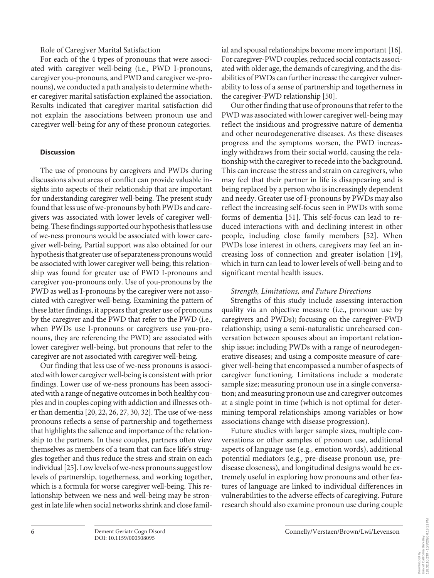# Role of Caregiver Marital Satisfaction

For each of the 4 types of pronouns that were associated with caregiver well-being (i.e., PWD I-pronouns, caregiver you-pronouns, and PWD and caregiver we-pronouns), we conducted a path analysis to determine whether caregiver marital satisfaction explained the association. Results indicated that caregiver marital satisfaction did not explain the associations between pronoun use and caregiver well-being for any of these pronoun categories.

# **Discussion**

The use of pronouns by caregivers and PWDs during discussions about areas of conflict can provide valuable insights into aspects of their relationship that are important for understanding caregiver well-being. The present study found that less use of we-pronouns by both PWDs and caregivers was associated with lower levels of caregiver wellbeing. These findings supported our hypothesis that less use of we-ness pronouns would be associated with lower caregiver well-being. Partial support was also obtained for our hypothesis that greater use of separateness pronouns would be associated with lower caregiver well-being; this relationship was found for greater use of PWD I-pronouns and caregiver you-pronouns only. Use of you-pronouns by the PWD as well as I-pronouns by the caregiver were not associated with caregiver well-being. Examining the pattern of these latter findings, it appears that greater use of pronouns by the caregiver and the PWD that refer to the PWD (i.e., when PWDs use I-pronouns or caregivers use you-pronouns, they are referencing the PWD) are associated with lower caregiver well-being, but pronouns that refer to the caregiver are not associated with caregiver well-being.

Our finding that less use of we-ness pronouns is associated with lower caregiver well-being is consistent with prior findings. Lower use of we-ness pronouns has been associated with a range of negative outcomes in both healthy couples and in couples coping with addiction and illnesses other than dementia [\[2](#page-6-1)0, [22](#page-6-1), [2](#page-6-1)[6,](#page-6-8) [2](#page-6-1)[7](#page-6-7), [30](#page-6-2), [3](#page-6-2)[2\]](#page-6-1). The use of we-ness pronouns reflects a sense of partnership and togetherness that highlights the salience and importance of the relationship to the partners. In these couples, partners often view themselves as members of a team that can face life's struggles together and thus reduce the stress and strain on each individual [\[2](#page-6-1)[5\]](#page-6-6). Low levels of we-ness pronouns suggest low levels of partnership, togetherness, and working together, which is a formula for worse caregiver well-being. This relationship between we-ness and well-being may be strongest in late life when social networks shrink and close familial and spousal relationships become more important [\[1](#page-6-0)[6\]](#page-6-8). For caregiver-PWD couples, reduced social contacts associated with older age, the demands of caregiving, and the disabilities of PWDs can further increase the caregiver vulnerability to loss of a sense of partnership and togetherness in the caregiver-PWD relationship [\[5](#page-6-6)0].

Our other finding that use of pronouns that refer to the PWD was associated with lower caregiver well-being may reflect the insidious and progressive nature of dementia and other neurodegenerative diseases. As these diseases progress and the symptoms worsen, the PWD increasingly withdraws from their social world, causing the relationship with the caregiver to recede into the background. This can increase the stress and strain on caregivers, who may feel that their partner in life is disappearing and is being replaced by a person who is increasingly dependent and needy. Greater use of I-pronouns by PWDs may also reflect the increasing self-focus seen in PWDs with some forms of dementia [[5](#page-6-6)[1](#page-6-0)]. This self-focus can lead to reduced interactions with and declining interest in other people, including close family members [[5](#page-6-6)[2](#page-6-1)]. When PWDs lose interest in others, caregivers may feel an increasing loss of connection and greater isolation [[1](#page-6-0)[9](#page-6-4)], which in turn can lead to lower levels of well-being and to significant mental health issues.

## *Strength, Limitations, and Future Directions*

Strengths of this study include assessing interaction quality via an objective measure (i.e., pronoun use by caregivers and PWDs); focusing on the caregiver-PWD relationship; using a semi-naturalistic unrehearsed conversation between spouses about an important relationship issue; including PWDs with a range of neurodegenerative diseases; and using a composite measure of caregiver well-being that encompassed a number of aspects of caregiver functioning. Limitations include a moderate sample size; measuring pronoun use in a single conversation; and measuring pronoun use and caregiver outcomes at a single point in time (which is not optimal for determining temporal relationships among variables or how associations change with disease progression).

Future studies with larger sample sizes, multiple conversations or other samples of pronoun use, additional aspects of language use (e.g., emotion words), additional potential mediators (e.g., pre-disease pronoun use, predisease closeness), and longitudinal designs would be extremely useful in exploring how pronouns and other features of language are linked to individual differences in vulnerabilities to the adverse effects of caregiving. Future research should also examine pronoun use during couple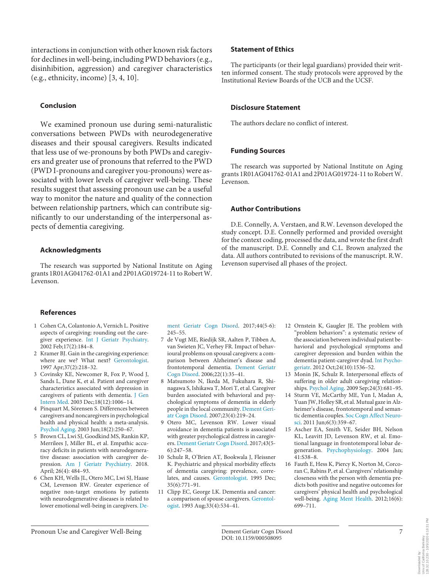interactions in conjunction with other known risk factors for declines in well-being, including PWD behaviors (e.g., disinhibition, aggression) and caregiver characteristics (e.g., ethnicity, income) [\[3](#page-6-2), [4,](#page-6-3) [10](#page-6-0)].

## **Conclusion**

We examined pronoun use during semi-naturalistic conversations between PWDs with neurodegenerative diseases and their spousal caregivers. Results indicated that less use of we-pronouns by both PWDs and caregivers and greater use of pronouns that referred to the PWD (PWD I-pronouns and caregiver you-pronouns) were associated with lower levels of caregiver well-being. These results suggest that assessing pronoun use can be a useful way to monitor the nature and quality of the connection between relationship partners, which can contribute significantly to our understanding of the interpersonal aspects of dementia caregiving.

#### **Acknowledgments**

The research was supported by National Institute on Aging grants 1R01AG041762-01A1 and 2P01AG019724-11 to Robert W. Levenson.

#### **Statement of Ethics**

The participants (or their legal guardians) provided their written informed consent. The study protocols were approved by the Institutional Review Boards of the UCB and the UCSF.

#### **Disclosure Statement**

The authors declare no conflict of interest.

### **Funding Sources**

The research was supported by National Institute on Aging grants 1R01AG041762-01A1 and 2P01AG019724-11 to Robert W. Levenson.

## **Author Contributions**

D.E. Connelly, A. Verstaen, and R.W. Levenson developed the study concept. D.E. Connelly performed and provided oversight for the context coding, processed the data, and wrote the first draft of the manuscript. D.E. Connelly and C.L. Brown analyzed the data. All authors contributed to revisions of the manuscript. R.W. Levenson supervised all phases of the project.

#### **References**

- <span id="page-6-0"></span>[1](#page-0-0) Cohen CA, Colantonio A, Vernich L. Positive aspects of caregiving: rounding out the caregiver experience. [Int J Geriatr Psychiatry](https://www.karger.com/Article/FullText/508095?ref=1#ref1). 2002 Feb;17(2):184–8.
- <span id="page-6-1"></span>[2](#page-0-0) Kramer BJ. Gain in the caregiving experience: where are we? What next? [Gerontologist](https://www.karger.com/Article/FullText/508095?ref=2#ref2). 1997 Apr;37(2):218–32.
- <span id="page-6-2"></span>[3](#page-0-1) Covinsky KE, Newcomer R, Fox P, Wood J, Sands L, Dane K, et al. Patient and caregiver characteristics associated with depression in caregivers of patients with dementia. [J Gen](https://www.karger.com/Article/FullText/508095?ref=3#ref3) [Intern Med](https://www.karger.com/Article/FullText/508095?ref=3#ref3). 2003 Dec;18(12):1006–14.
- <span id="page-6-3"></span>[4](#page-0-2) Pinquart M, Sörensen S. Differences between caregivers and noncaregivers in psychological health and physical health: a meta-analysis. [Psychol Aging.](https://www.karger.com/Article/FullText/508095?ref=4#ref4) 2003 Jun;18(2):250–67.
- <span id="page-6-6"></span>[5](#page-0-2) Brown CL, Lwi SJ, Goodkind MS, Rankin KP, Merrilees J, Miller BL, et al. Empathic accuracy deficits in patients with neurodegenerative disease: association with caregiver depression[. Am J Geriatr Psychiatry](https://www.karger.com/Article/FullText/508095?ref=5#ref5). 2018. April; 26(4): 484–93.
- <span id="page-6-8"></span>[6](#page-0-2) Chen KH, Wells JL, Otero MC, Lwi SJ, Haase CM, Levenson RW. Greater experience of negative non-target emotions by patients with neurodegenerative diseases is related to lower emotional well-being in caregivers. [De-](https://www.karger.com/Article/FullText/508095?ref=6#ref6)

[ment Geriatr Cogn Disord.](https://www.karger.com/Article/FullText/508095?ref=6#ref6) 2017;44(5-6): 245–55.

- <span id="page-6-7"></span>[7](#page-0-2) de Vugt ME, Riedijk SR, Aalten P, Tibben A, van Swieten JC, Verhey FR. Impact of behavioural problems on spousal caregivers: a comparison between Alzheimer's disease and frontotemporal dementia. [Dement Geriatr](https://www.karger.com/Article/FullText/508095?ref=7#ref7) [Cogn Disord](https://www.karger.com/Article/FullText/508095?ref=7#ref7). 2006;22(1):35–41.
- <span id="page-6-5"></span>[8](#page-0-2) Matsumoto N, Ikeda M, Fukuhara R, Shinagawa S, Ishikawa T, Mori T, et al. Caregiver burden associated with behavioral and psychological symptoms of dementia in elderly people in the local community. [Dement Geri](https://www.karger.com/Article/FullText/508095?ref=8#ref8)[atr Cogn Disord.](https://www.karger.com/Article/FullText/508095?ref=8#ref8) 2007;23(4):219–24.
- <span id="page-6-4"></span>[9](#page-0-2) Otero MC, Levenson RW. Lower visual avoidance in dementia patients is associated with greater psychological distress in caregivers. [Dement Geriatr Cogn Disord](https://www.karger.com/Article/FullText/508095?ref=9#ref9). 2017;43(5- 6):247–58.
- [10](#page-0-2) Schulz R, O'Brien AT, Bookwala J, Fleissner K. Psychiatric and physical morbidity effects of dementia caregiving: prevalence, correlates, and causes. [Gerontologist](https://www.karger.com/Article/FullText/508095?ref=10#ref10). 1995 Dec; 35(6):771–91.
- [11](#page-0-2) Clipp EC, George LK. Dementia and cancer: a comparison of spouse caregivers. [Gerontol](https://www.karger.com/Article/FullText/508095?ref=11#ref11)[ogist](https://www.karger.com/Article/FullText/508095?ref=11#ref11). 1993 Aug;33(4):534–41.
- [12](#page-0-2) Ornstein K, Gaugler JE. The problem with "problem behaviors": a systematic review of the association between individual patient behavioral and psychological symptoms and caregiver depression and burden within the dementia patient-caregiver dyad. [Int Psycho](https://www.karger.com/Article/FullText/508095?ref=12#ref12)[geriatr.](https://www.karger.com/Article/FullText/508095?ref=12#ref12) 2012 Oct;24(10):1536–52.
- [13](#page-1-0) Monin JK, Schulz R. Interpersonal effects of suffering in older adult caregiving relationships. [Psychol Aging](https://www.karger.com/Article/FullText/508095?ref=13#ref13). 2009 Sep;24(3):681–95.
- [14](#page-1-0) Sturm VE, McCarthy ME, Yun I, Madan A, Yuan JW, Holley SR, et al. Mutual gaze in Alzheimer's disease, frontotemporal and semantic dementia couples. [Soc Cogn Affect Neuro](https://www.karger.com/Article/FullText/508095?ref=14#ref14)[sci.](https://www.karger.com/Article/FullText/508095?ref=14#ref14) 2011 Jun;6(3):359–67.
- [15](#page-1-1) Ascher EA, Smith VE, Seider BH, Nelson KL, Leavitt JD, Levenson RW, et al. Emotional language in frontotemporal lobar degeneration. [Psychophysiology.](https://www.karger.com/Article/FullText/508095?ref=15#ref15) 2004 Jan; 41:S38–8.
- [16](#page-1-1) Fauth E, Hess K, Piercy K, Norton M, Corcoran C, Rabins P, et al. Caregivers' relationship closeness with the person with dementia predicts both positive and negative outcomes for caregivers' physical health and psychological well-being. [Aging Ment Health](https://www.karger.com/Article/FullText/508095?ref=16#ref16). 2012;16(6): 699–711.

Downloaded by:<br>Univ.of California Berkeley<br>128.32.10.230 - 10/5/2020 6:18:31 PM Univ.of California Berkeley Downloaded by:

128.32.10.230 - 10/5/2020 6:18:31 PM